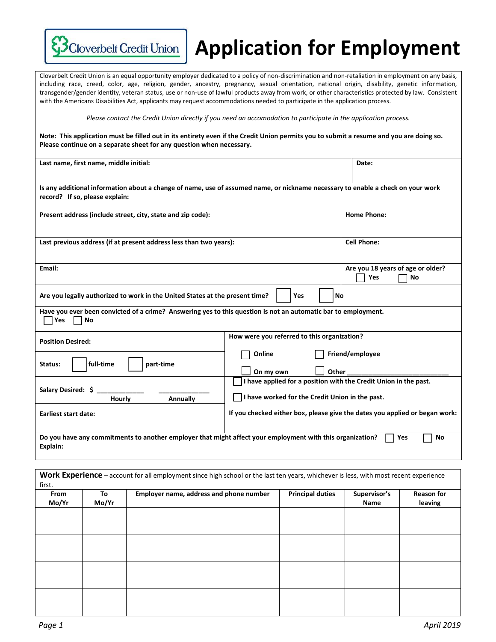

## **Application for Employment**

Cloverbelt Credit Union is an equal opportunity employer dedicated to a policy of non-discrimination and non-retaliation in employment on any basis, including race, creed, color, age, religion, gender, ancestry, pregnancy, sexual orientation, national origin, disability, genetic information, transgender/gender identity, veteran status, use or non-use of lawful products away from work, or other characteristics protected by law. Consistent with the Americans Disabilities Act, applicants may request accommodations needed to participate in the application process.

*Please contact the Credit Union directly if you need an accomodation to participate in the application process.*

**Note: This application must be filled out in its entirety even if the Credit Union permits you to submit a resume and you are doing so. Please continue on a separate sheet for any question when necessary.**

| Last name, first name, middle initial:                                                                                          |                                                                  | Date:                                                                       |
|---------------------------------------------------------------------------------------------------------------------------------|------------------------------------------------------------------|-----------------------------------------------------------------------------|
|                                                                                                                                 |                                                                  |                                                                             |
| Is any additional information about a change of name, use of assumed name, or nickname necessary to enable a check on your work |                                                                  |                                                                             |
| record? If so, please explain:                                                                                                  |                                                                  |                                                                             |
| Present address (include street, city, state and zip code):                                                                     |                                                                  | <b>Home Phone:</b>                                                          |
|                                                                                                                                 |                                                                  |                                                                             |
|                                                                                                                                 |                                                                  |                                                                             |
| Last previous address (if at present address less than two years):                                                              |                                                                  | <b>Cell Phone:</b>                                                          |
|                                                                                                                                 |                                                                  |                                                                             |
| Email:                                                                                                                          |                                                                  | Are you 18 years of age or older?                                           |
|                                                                                                                                 |                                                                  | Yes<br>No                                                                   |
| Are you legally authorized to work in the United States at the present time?<br>Yes<br><b>No</b>                                |                                                                  |                                                                             |
|                                                                                                                                 |                                                                  |                                                                             |
| Have you ever been convicted of a crime? Answering yes to this question is not an automatic bar to employment.<br>Yes<br>No     |                                                                  |                                                                             |
|                                                                                                                                 | How were you referred to this organization?                      |                                                                             |
| <b>Position Desired:</b>                                                                                                        |                                                                  |                                                                             |
|                                                                                                                                 | Online                                                           | Friend/employee                                                             |
| full-time<br>part-time<br>Status:                                                                                               | Other<br>On my own                                               |                                                                             |
|                                                                                                                                 | I have applied for a position with the Credit Union in the past. |                                                                             |
| Salary Desired: \$                                                                                                              |                                                                  |                                                                             |
| Hourly<br>Annually                                                                                                              | I have worked for the Credit Union in the past.                  |                                                                             |
| <b>Earliest start date:</b>                                                                                                     |                                                                  | If you checked either box, please give the dates you applied or began work: |
|                                                                                                                                 |                                                                  |                                                                             |
| Do you have any commitments to another employer that might affect your employment with this organization?<br>Yes<br>No          |                                                                  |                                                                             |
| Explain:                                                                                                                        |                                                                  |                                                                             |

| <b>Reason for</b><br>leaving | Supervisor's<br>Name | <b>Principal duties</b> | Employer name, address and phone number | To<br>Mo/Yr | From<br>Mo/Yr |
|------------------------------|----------------------|-------------------------|-----------------------------------------|-------------|---------------|
|                              |                      |                         |                                         |             |               |
|                              |                      |                         |                                         |             |               |
|                              |                      |                         |                                         |             |               |
|                              |                      |                         |                                         |             |               |
|                              |                      |                         |                                         |             |               |
|                              |                      |                         |                                         |             |               |